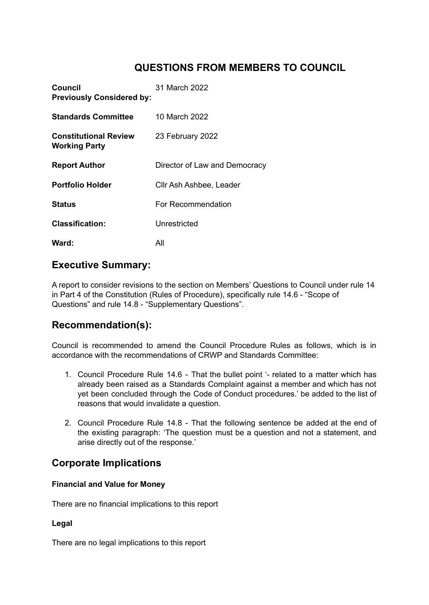# **QUESTIONS FROM MEMBERS TO COUNCIL**

| Council<br><b>Previously Considered by:</b>          | 31 March 2022                 |
|------------------------------------------------------|-------------------------------|
| <b>Standards Committee</b>                           | 10 March 2022                 |
| <b>Constitutional Review</b><br><b>Working Party</b> | 23 February 2022              |
| <b>Report Author</b>                                 | Director of Law and Democracy |
| <b>Portfolio Holder</b>                              | Cllr Ash Ashbee, Leader       |
| <b>Status</b>                                        | For Recommendation            |
| <b>Classification:</b>                               | Unrestricted                  |
| Ward:                                                | All                           |

## **Executive Summary:**

A report to consider revisions to the section on Members' Questions to Council under rule 14 in Part 4 of the Constitution (Rules of Procedure), specifically rule 14.6 - "Scope of Questions" and rule 14.8 - "Supplementary Questions".

# **Recommendation(s):**

Council is recommended to amend the Council Procedure Rules as follows, which is in accordance with the recommendations of CRWP and Standards Committee:

- 1. Council Procedure Rule 14.6 That the bullet point '- related to a matter which has already been raised as a Standards Complaint against a member and which has not yet been concluded through the Code of Conduct procedures.' be added to the list of reasons that would invalidate a question.
- 2. Council Procedure Rule 14.8 That the following sentence be added at the end of the existing paragraph: 'The question must be a question and not a statement, and arise directly out of the response.'

## **Corporate Implications**

### **Financial and Value for Money**

There are no financial implications to this report

#### **Legal**

There are no legal implications to this report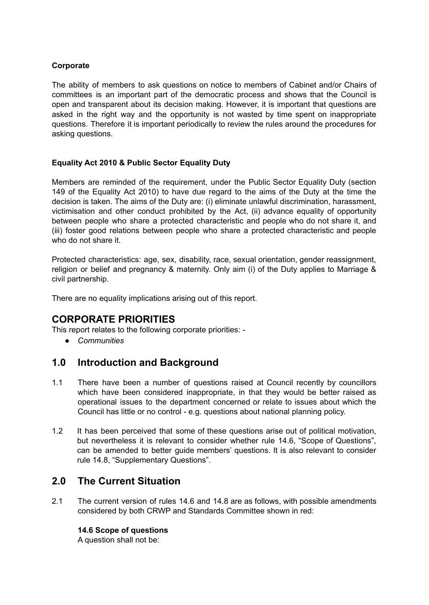### **Corporate**

The ability of members to ask questions on notice to members of Cabinet and/or Chairs of committees is an important part of the democratic process and shows that the Council is open and transparent about its decision making. However, it is important that questions are asked in the right way and the opportunity is not wasted by time spent on inappropriate questions. Therefore it is important periodically to review the rules around the procedures for asking questions.

### **Equality Act 2010 & Public Sector Equality Duty**

Members are reminded of the requirement, under the Public Sector Equality Duty (section 149 of the Equality Act 2010) to have due regard to the aims of the Duty at the time the decision is taken. The aims of the Duty are: (i) eliminate unlawful discrimination, harassment, victimisation and other conduct prohibited by the Act, (ii) advance equality of opportunity between people who share a protected characteristic and people who do not share it, and (iii) foster good relations between people who share a protected characteristic and people who do not share it.

Protected characteristics: age, sex, disability, race, sexual orientation, gender reassignment, religion or belief and pregnancy & maternity. Only aim (i) of the Duty applies to Marriage & civil partnership.

There are no equality implications arising out of this report.

# **CORPORATE PRIORITIES**

This report relates to the following corporate priorities: -

*● Communities*

## **1.0 Introduction and Background**

- 1.1 There have been a number of questions raised at Council recently by councillors which have been considered inappropriate, in that they would be better raised as operational issues to the department concerned or relate to issues about which the Council has little or no control - e.g. questions about national planning policy.
- 1.2 It has been perceived that some of these questions arise out of political motivation, but nevertheless it is relevant to consider whether rule 14.6, "Scope of Questions", can be amended to better guide members' questions. It is also relevant to consider rule 14.8, "Supplementary Questions".

## **2.0 The Current Situation**

2.1 The current version of rules 14.6 and 14.8 are as follows, with possible amendments considered by both CRWP and Standards Committee shown in red:

### **14.6 Scope of questions**

A question shall not be: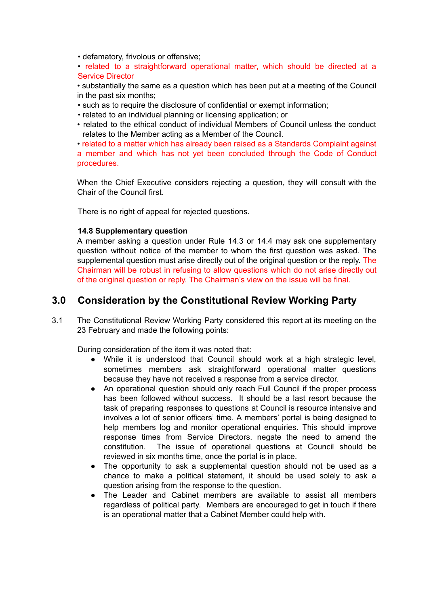• defamatory, frivolous or offensive;

• related to a straightforward operational matter, which should be directed at a Service Director

• substantially the same as a question which has been put at a meeting of the Council in the past six months;

- such as to require the disclosure of confidential or exempt information;
- related to an individual planning or licensing application; or
- related to the ethical conduct of individual Members of Council unless the conduct relates to the Member acting as a Member of the Council.

• related to a matter which has already been raised as a Standards Complaint against a member and which has not yet been concluded through the Code of Conduct procedures.

When the Chief Executive considers rejecting a question, they will consult with the Chair of the Council first.

There is no right of appeal for rejected questions.

#### **14.8 Supplementary question**

A member asking a question under Rule 14.3 or 14.4 may ask one supplementary question without notice of the member to whom the first question was asked. The supplemental question must arise directly out of the original question or the reply. The Chairman will be robust in refusing to allow questions which do not arise directly out of the original question or reply. The Chairman's view on the issue will be final.

## **3.0 Consideration by the Constitutional Review Working Party**

3.1 The Constitutional Review Working Party considered this report at its meeting on the 23 February and made the following points:

During consideration of the item it was noted that:

- While it is understood that Council should work at a high strategic level, sometimes members ask straightforward operational matter questions because they have not received a response from a service director.
- An operational question should only reach Full Council if the proper process has been followed without success. It should be a last resort because the task of preparing responses to questions at Council is resource intensive and involves a lot of senior officers' time. A members' portal is being designed to help members log and monitor operational enquiries. This should improve response times from Service Directors. negate the need to amend the constitution. The issue of operational questions at Council should be reviewed in six months time, once the portal is in place.
- The opportunity to ask a supplemental question should not be used as a chance to make a political statement, it should be used solely to ask a question arising from the response to the question.
- The Leader and Cabinet members are available to assist all members regardless of political party. Members are encouraged to get in touch if there is an operational matter that a Cabinet Member could help with.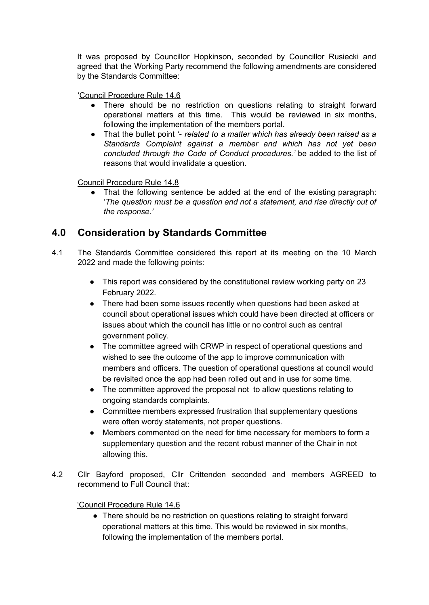It was proposed by Councillor Hopkinson, seconded by Councillor Rusiecki and agreed that the Working Party recommend the following amendments are considered by the Standards Committee:

'Council Procedure Rule 14.6

- There should be no restriction on questions relating to straight forward operational matters at this time. This would be reviewed in six months, following the implementation of the members portal.
- That the bullet point '- *related to a matter which has already been raised as a Standards Complaint against a member and which has not yet been concluded through the Code of Conduct procedures.'* be added to the list of reasons that would invalidate a question.

Council Procedure Rule 14.8

That the following sentence be added at the end of the existing paragraph: '*The question must be a question and not a statement, and rise directly out of the response.'*

# **4.0 Consideration by Standards Committee**

- 4.1 The Standards Committee considered this report at its meeting on the 10 March 2022 and made the following points:
	- This report was considered by the constitutional review working party on 23 February 2022.
	- There had been some issues recently when questions had been asked at council about operational issues which could have been directed at officers or issues about which the council has little or no control such as central government policy.
	- The committee agreed with CRWP in respect of operational questions and wished to see the outcome of the app to improve communication with members and officers. The question of operational questions at council would be revisited once the app had been rolled out and in use for some time.
	- The committee approved the proposal not to allow questions relating to ongoing standards complaints.
	- Committee members expressed frustration that supplementary questions were often wordy statements, not proper questions.
	- Members commented on the need for time necessary for members to form a supplementary question and the recent robust manner of the Chair in not allowing this.
- 4.2 Cllr Bayford proposed, Cllr Crittenden seconded and members AGREED to recommend to Full Council that:

### 'Council Procedure Rule 14.6

• There should be no restriction on questions relating to straight forward operational matters at this time. This would be reviewed in six months, following the implementation of the members portal.